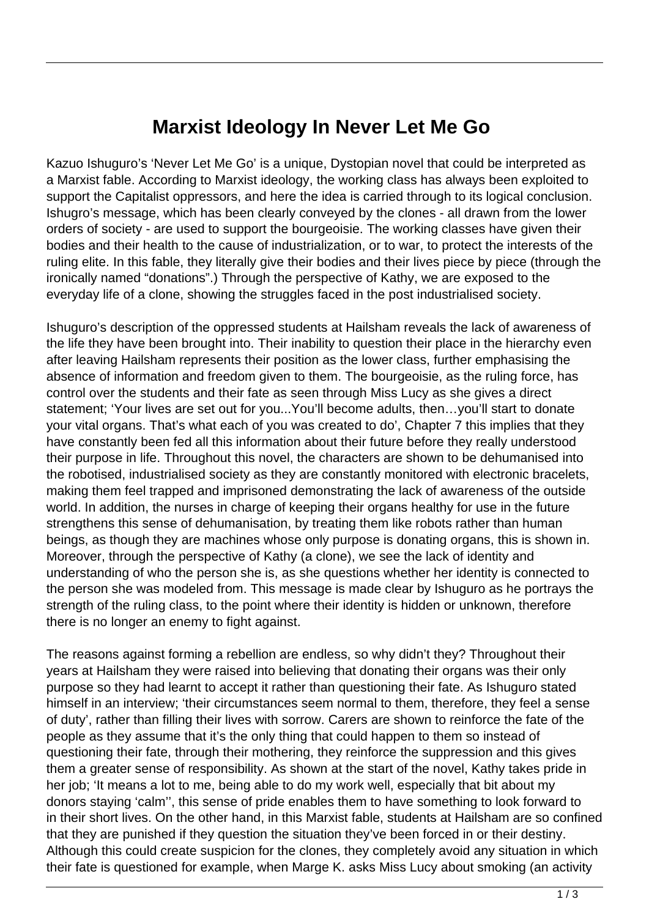## **Marxist Ideology In Never Let Me Go**

Kazuo Ishuguro's 'Never Let Me Go' is a unique, Dystopian novel that could be interpreted as a Marxist fable. According to Marxist ideology, the working class has always been exploited to support the Capitalist oppressors, and here the idea is carried through to its logical conclusion. Ishugro's message, which has been clearly conveyed by the clones - all drawn from the lower orders of society - are used to support the bourgeoisie. The working classes have given their bodies and their health to the cause of industrialization, or to war, to protect the interests of the ruling elite. In this fable, they literally give their bodies and their lives piece by piece (through the ironically named "donations".) Through the perspective of Kathy, we are exposed to the everyday life of a clone, showing the struggles faced in the post industrialised society.

Ishuguro's description of the oppressed students at Hailsham reveals the lack of awareness of the life they have been brought into. Their inability to question their place in the hierarchy even after leaving Hailsham represents their position as the lower class, further emphasising the absence of information and freedom given to them. The bourgeoisie, as the ruling force, has control over the students and their fate as seen through Miss Lucy as she gives a direct statement; 'Your lives are set out for you...You'll become adults, then…you'll start to donate your vital organs. That's what each of you was created to do', Chapter 7 this implies that they have constantly been fed all this information about their future before they really understood their purpose in life. Throughout this novel, the characters are shown to be dehumanised into the robotised, industrialised society as they are constantly monitored with electronic bracelets, making them feel trapped and imprisoned demonstrating the lack of awareness of the outside world. In addition, the nurses in charge of keeping their organs healthy for use in the future strengthens this sense of dehumanisation, by treating them like robots rather than human beings, as though they are machines whose only purpose is donating organs, this is shown in. Moreover, through the perspective of Kathy (a clone), we see the lack of identity and understanding of who the person she is, as she questions whether her identity is connected to the person she was modeled from. This message is made clear by Ishuguro as he portrays the strength of the ruling class, to the point where their identity is hidden or unknown, therefore there is no longer an enemy to fight against.

The reasons against forming a rebellion are endless, so why didn't they? Throughout their years at Hailsham they were raised into believing that donating their organs was their only purpose so they had learnt to accept it rather than questioning their fate. As Ishuguro stated himself in an interview; 'their circumstances seem normal to them, therefore, they feel a sense of duty', rather than filling their lives with sorrow. Carers are shown to reinforce the fate of the people as they assume that it's the only thing that could happen to them so instead of questioning their fate, through their mothering, they reinforce the suppression and this gives them a greater sense of responsibility. As shown at the start of the novel, Kathy takes pride in her job; 'It means a lot to me, being able to do my work well, especially that bit about my donors staying 'calm'', this sense of pride enables them to have something to look forward to in their short lives. On the other hand, in this Marxist fable, students at Hailsham are so confined that they are punished if they question the situation they've been forced in or their destiny. Although this could create suspicion for the clones, they completely avoid any situation in which their fate is questioned for example, when Marge K. asks Miss Lucy about smoking (an activity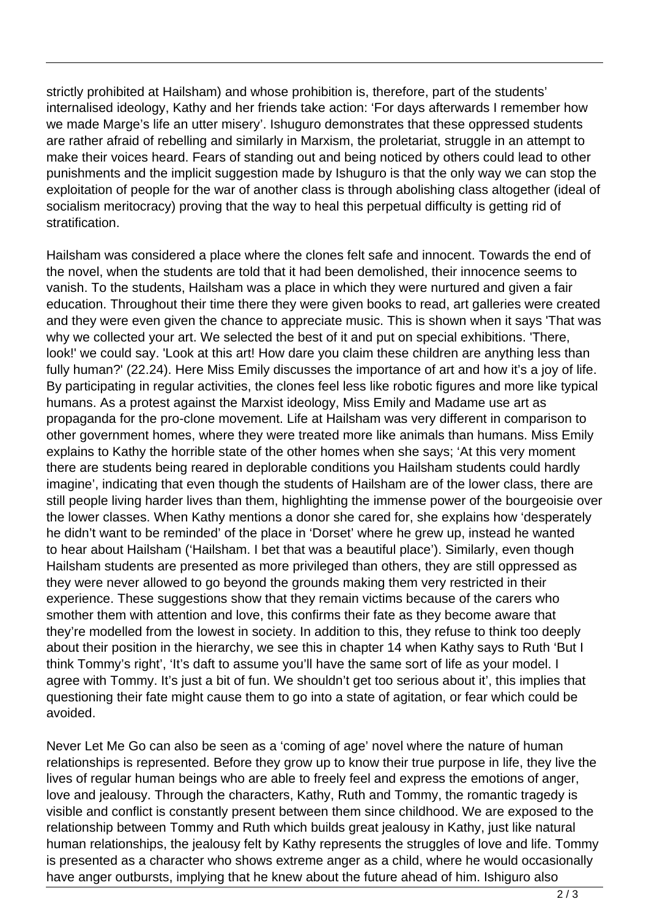strictly prohibited at Hailsham) and whose prohibition is, therefore, part of the students' internalised ideology, Kathy and her friends take action: 'For days afterwards I remember how we made Marge's life an utter misery'. Ishuguro demonstrates that these oppressed students are rather afraid of rebelling and similarly in Marxism, the proletariat, struggle in an attempt to make their voices heard. Fears of standing out and being noticed by others could lead to other punishments and the implicit suggestion made by Ishuguro is that the only way we can stop the exploitation of people for the war of another class is through abolishing class altogether (ideal of socialism meritocracy) proving that the way to heal this perpetual difficulty is getting rid of stratification.

Hailsham was considered a place where the clones felt safe and innocent. Towards the end of the novel, when the students are told that it had been demolished, their innocence seems to vanish. To the students, Hailsham was a place in which they were nurtured and given a fair education. Throughout their time there they were given books to read, art galleries were created and they were even given the chance to appreciate music. This is shown when it says 'That was why we collected your art. We selected the best of it and put on special exhibitions. 'There, look!' we could say. 'Look at this art! How dare you claim these children are anything less than fully human?' (22.24). Here Miss Emily discusses the importance of art and how it's a joy of life. By participating in regular activities, the clones feel less like robotic figures and more like typical humans. As a protest against the Marxist ideology, Miss Emily and Madame use art as propaganda for the pro-clone movement. Life at Hailsham was very different in comparison to other government homes, where they were treated more like animals than humans. Miss Emily explains to Kathy the horrible state of the other homes when she says; 'At this very moment there are students being reared in deplorable conditions you Hailsham students could hardly imagine', indicating that even though the students of Hailsham are of the lower class, there are still people living harder lives than them, highlighting the immense power of the bourgeoisie over the lower classes. When Kathy mentions a donor she cared for, she explains how 'desperately he didn't want to be reminded' of the place in 'Dorset' where he grew up, instead he wanted to hear about Hailsham ('Hailsham. I bet that was a beautiful place'). Similarly, even though Hailsham students are presented as more privileged than others, they are still oppressed as they were never allowed to go beyond the grounds making them very restricted in their experience. These suggestions show that they remain victims because of the carers who smother them with attention and love, this confirms their fate as they become aware that they're modelled from the lowest in society. In addition to this, they refuse to think too deeply about their position in the hierarchy, we see this in chapter 14 when Kathy says to Ruth 'But I think Tommy's right', 'It's daft to assume you'll have the same sort of life as your model. I agree with Tommy. It's just a bit of fun. We shouldn't get too serious about it', this implies that questioning their fate might cause them to go into a state of agitation, or fear which could be avoided.

Never Let Me Go can also be seen as a 'coming of age' novel where the nature of human relationships is represented. Before they grow up to know their true purpose in life, they live the lives of regular human beings who are able to freely feel and express the emotions of anger, love and jealousy. Through the characters, Kathy, Ruth and Tommy, the romantic tragedy is visible and conflict is constantly present between them since childhood. We are exposed to the relationship between Tommy and Ruth which builds great jealousy in Kathy, just like natural human relationships, the jealousy felt by Kathy represents the struggles of love and life. Tommy is presented as a character who shows extreme anger as a child, where he would occasionally have anger outbursts, implying that he knew about the future ahead of him. Ishiguro also